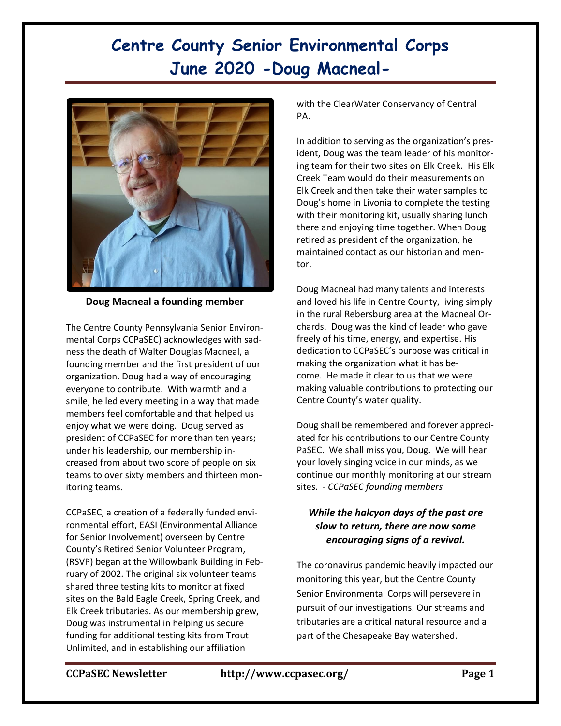## **Centre County Senior Environmental Corps June 2020 -Doug Macneal-**



**Doug Macneal a founding member**

The Centre County Pennsylvania Senior Environmental Corps CCPaSEC) acknowledges with sadness the death of Walter Douglas Macneal, a founding member and the first president of our organization. Doug had a way of encouraging everyone to contribute. With warmth and a smile, he led every meeting in a way that made members feel comfortable and that helped us enjoy what we were doing. Doug served as president of CCPaSEC for more than ten years; under his leadership, our membership increased from about two score of people on six teams to over sixty members and thirteen monitoring teams.

CCPaSEC, a creation of a federally funded environmental effort, EASI (Environmental Alliance for Senior Involvement) overseen by Centre County's Retired Senior Volunteer Program, (RSVP) began at the Willowbank Building in February of 2002. The original six volunteer teams shared three testing kits to monitor at fixed sites on the Bald Eagle Creek, Spring Creek, and Elk Creek tributaries. As our membership grew, Doug was instrumental in helping us secure funding for additional testing kits from Trout Unlimited, and in establishing our affiliation

with the ClearWater Conservancy of Central PA.

In addition to serving as the organization's president, Doug was the team leader of his monitoring team for their two sites on Elk Creek. His Elk Creek Team would do their measurements on Elk Creek and then take their water samples to Doug's home in Livonia to complete the testing with their monitoring kit, usually sharing lunch there and enjoying time together. When Doug retired as president of the organization, he maintained contact as our historian and mentor.

Doug Macneal had many talents and interests and loved his life in Centre County, living simply in the rural Rebersburg area at the Macneal Orchards. Doug was the kind of leader who gave freely of his time, energy, and expertise. His dedication to CCPaSEC's purpose was critical in making the organization what it has become. He made it clear to us that we were making valuable contributions to protecting our Centre County's water quality.

Doug shall be remembered and forever appreciated for his contributions to our Centre County PaSEC. We shall miss you, Doug. We will hear your lovely singing voice in our minds, as we continue our monthly monitoring at our stream sites. - *CCPaSEC founding members*

### *While the halcyon days of the past are slow to return, there are now some encouraging signs of a revival.*

The coronavirus pandemic heavily impacted our monitoring this year, but the Centre County Senior Environmental Corps will persevere in pursuit of our investigations. Our streams and tributaries are a critical natural resource and a part of the Chesapeake Bay watershed.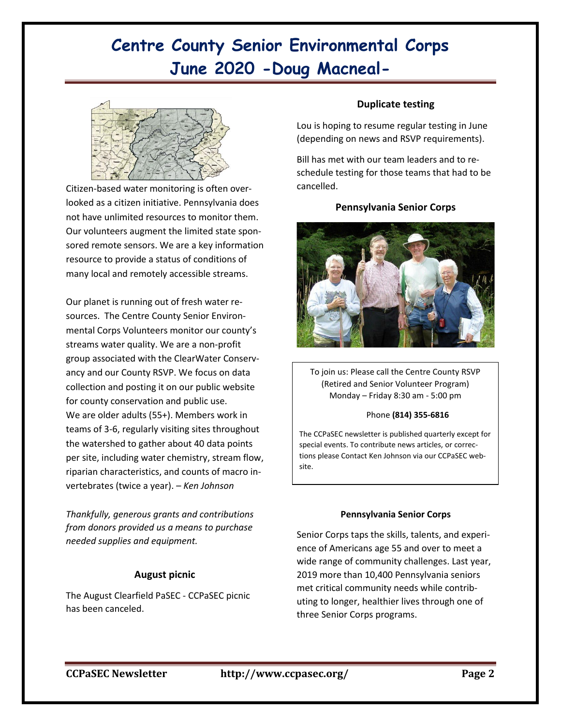# **Centre County Senior Environmental Corps June 2020 -Doug Macneal-**



Citizen-based water monitoring is often overlooked as a citizen initiative. Pennsylvania does not have unlimited resources to monitor them. Our volunteers augment the limited state sponsored remote sensors. We are a key information resource to provide a status of conditions of many local and remotely accessible streams.

Our planet is running out of fresh water resources. The Centre County Senior Environmental Corps Volunteers monitor our county's streams water quality. We are a non-profit group associated with the ClearWater Conservancy and our County RSVP. We focus on data collection and posting it on our public website for county conservation and public use. We are older adults (55+). Members work in teams of 3-6, regularly visiting sites throughout the watershed to gather about 40 data points per site, including water chemistry, stream flow, riparian characteristics, and counts of macro invertebrates (twice a year). *– Ken Johnson*

*Thankfully, generous grants and contributions from donors provided us a means to purchase needed supplies and equipment.* 

#### **August picnic**

The August Clearfield PaSEC - CCPaSEC picnic has been canceled.

#### **Duplicate testing**

Lou is hoping to resume regular testing in June (depending on news and RSVP requirements).

Bill has met with our team leaders and to reschedule testing for those teams that had to be cancelled.

#### **Pennsylvania Senior Corps**



To join us: Please call the Centre County RSVP (Retired and Senior Volunteer Program) Monday – Friday 8:30 am - 5:00 pm

#### Phone **(814) 355-6816**

The CCPaSEC newsletter is published quarterly except for special events. To contribute news articles, or corrections please Contact Ken Johnson via our CCPaSEC website.

#### **Pennsylvania Senior Corps**

Senior Corps taps the skills, talents, and experience of Americans age 55 and over to meet a wide range of community challenges. Last year, 2019 more than 10,400 Pennsylvania seniors met critical community needs while contributing to longer, healthier lives through one of three Senior Corps programs.